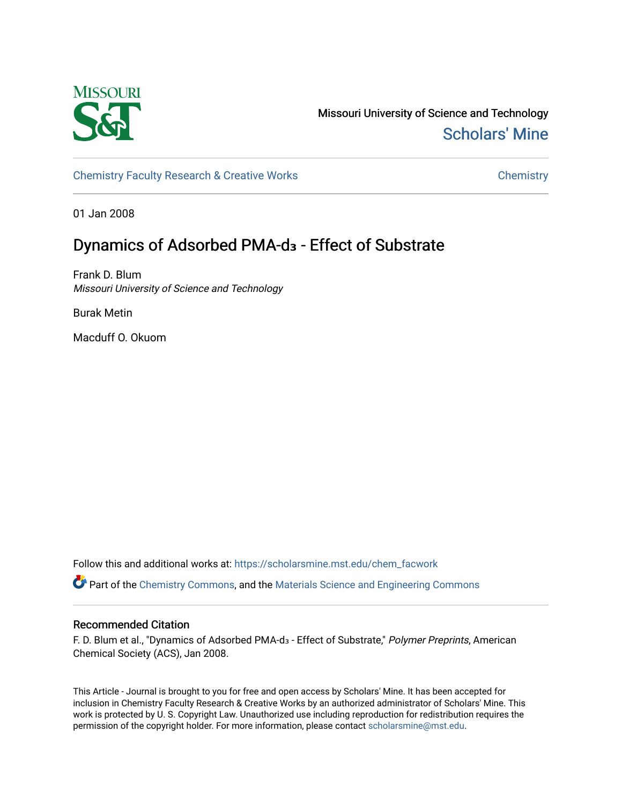

Missouri University of Science and Technology [Scholars' Mine](https://scholarsmine.mst.edu/) 

[Chemistry Faculty Research & Creative Works](https://scholarsmine.mst.edu/chem_facwork) [Chemistry](https://scholarsmine.mst.edu/chem) Chemistry

01 Jan 2008

# Dynamics of Adsorbed PMA-d<sub>3</sub> - Effect of Substrate

Frank D. Blum Missouri University of Science and Technology

Burak Metin

Macduff O. Okuom

Follow this and additional works at: [https://scholarsmine.mst.edu/chem\\_facwork](https://scholarsmine.mst.edu/chem_facwork?utm_source=scholarsmine.mst.edu%2Fchem_facwork%2F2401&utm_medium=PDF&utm_campaign=PDFCoverPages)

Part of the [Chemistry Commons,](http://network.bepress.com/hgg/discipline/131?utm_source=scholarsmine.mst.edu%2Fchem_facwork%2F2401&utm_medium=PDF&utm_campaign=PDFCoverPages) and the [Materials Science and Engineering Commons](http://network.bepress.com/hgg/discipline/285?utm_source=scholarsmine.mst.edu%2Fchem_facwork%2F2401&utm_medium=PDF&utm_campaign=PDFCoverPages)

# Recommended Citation

F. D. Blum et al., "Dynamics of Adsorbed PMA-d<sub>3</sub> - Effect of Substrate," Polymer Preprints, American Chemical Society (ACS), Jan 2008.

This Article - Journal is brought to you for free and open access by Scholars' Mine. It has been accepted for inclusion in Chemistry Faculty Research & Creative Works by an authorized administrator of Scholars' Mine. This work is protected by U. S. Copyright Law. Unauthorized use including reproduction for redistribution requires the permission of the copyright holder. For more information, please contact [scholarsmine@mst.edu](mailto:scholarsmine@mst.edu).